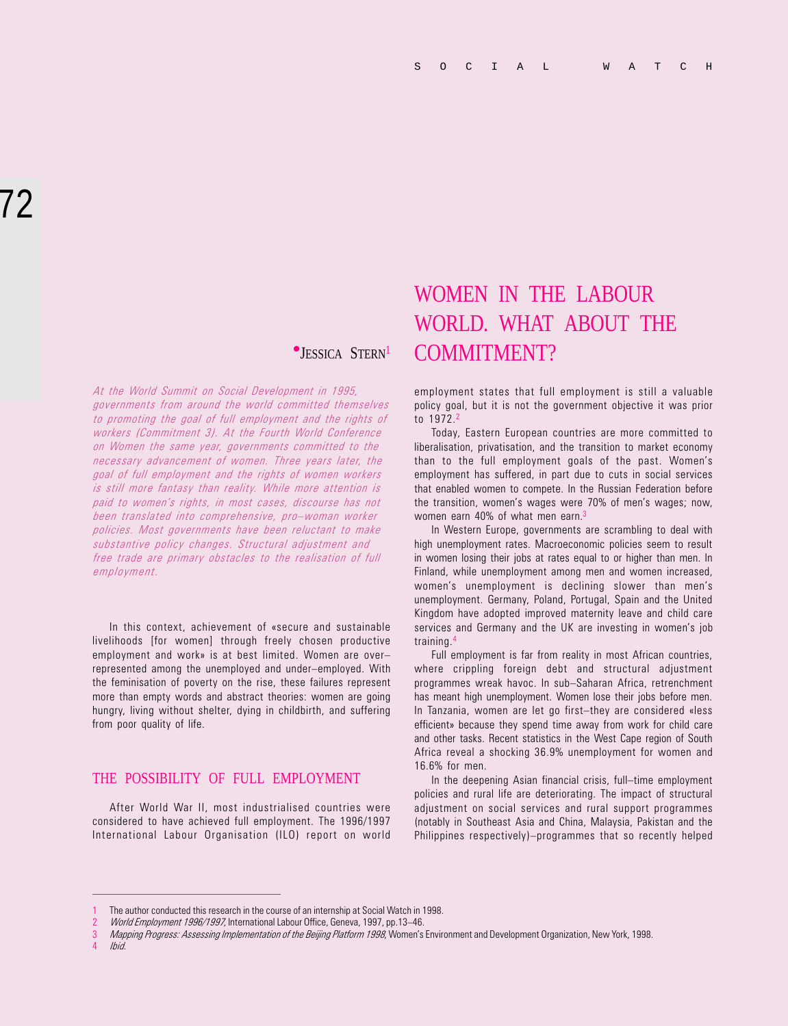At the World Summit on Social Development in 1995, governments from around the world committed themselves to promoting the goal of full employment and the rights of workers (Commitment 3). At the Fourth World Conference on Women the same year, governments committed to the necessary advancement of women. Three years later, the goal of full employment and the rights of women workers is still more fantasy than reality. While more attention is paid to women's rights, in most cases, discourse has not been translated into comprehensive, pro-woman worker policies. Most governments have been reluctant to make substantive policy changes. Structural adjustment and free trade are primary obstacles to the realisation of full employment.

In this context, achievement of «secure and sustainable livelihoods [for women] through freely chosen productive employment and work» is at best limited. Women are over represented among the unemployed and under-employed. With the feminisation of poverty on the rise, these failures represent more than empty words and abstract theories: women are going hungry, living without shelter, dying in childbirth, and suffering from poor quality of life.

# THE POSSIBILITY OF FULL EMPLOYMENT

After World War II, most industrialised countries were considered to have achieved full employment. The 1996/1997 International Labour Organisation (ILO) report on world

# WOMEN IN THE LABOUR WORLD. WHAT ABOUT THE **•JESSICA STERN<sup>1</sup>** COMMITMENT?

employment states that full employment is still a valuable policy goal, but it is not the government objective it was prior to 1972<sup>2</sup>

Today, Eastern European countries are more committed to liberalisation, privatisation, and the transition to market economy than to the full employment goals of the past. Women's employment has suffered, in part due to cuts in social services that enabled women to compete. In the Russian Federation before the transition, women's wages were 70% of men's wages; now, women earn 40% of what men earn.<sup>3</sup>

In Western Europe, governments are scrambling to deal with high unemployment rates. Macroeconomic policies seem to result in women losing their jobs at rates equal to or higher than men. In Finland, while unemployment among men and women increased, women's unemployment is declining slower than men's unemployment. Germany, Poland, Portugal, Spain and the United Kingdom have adopted improved maternity leave and child care services and Germany and the UK are investing in women's job training.4

Full employment is far from reality in most African countries, where crippling foreign debt and structural adjustment programmes wreak havoc. In sub-Saharan Africa, retrenchment has meant high unemployment. Women lose their jobs before men. In Tanzania, women are let go first-they are considered «less efficient» because they spend time away from work for child care and other tasks. Recent statistics in the West Cape region of South Africa reveal a shocking 36.9% unemployment for women and 16.6% for men.

In the deepening Asian financial crisis, full-time employment policies and rural life are deteriorating. The impact of structural adjustment on social services and rural support programmes (notably in Southeast Asia and China, Malaysia, Pakistan and the Philippines respectively)-programmes that so recently helped

4 Ibid.

<sup>1</sup> The author conducted this research in the course of an internship at Social Watch in 1998.

World Employment 1996/1997, International Labour Office, Geneva, 1997, pp.13-46.

Mapping Progress: Assessing Implementation of the Beijing Platform 1998, Women's Environment and Development Organization, New York, 1998.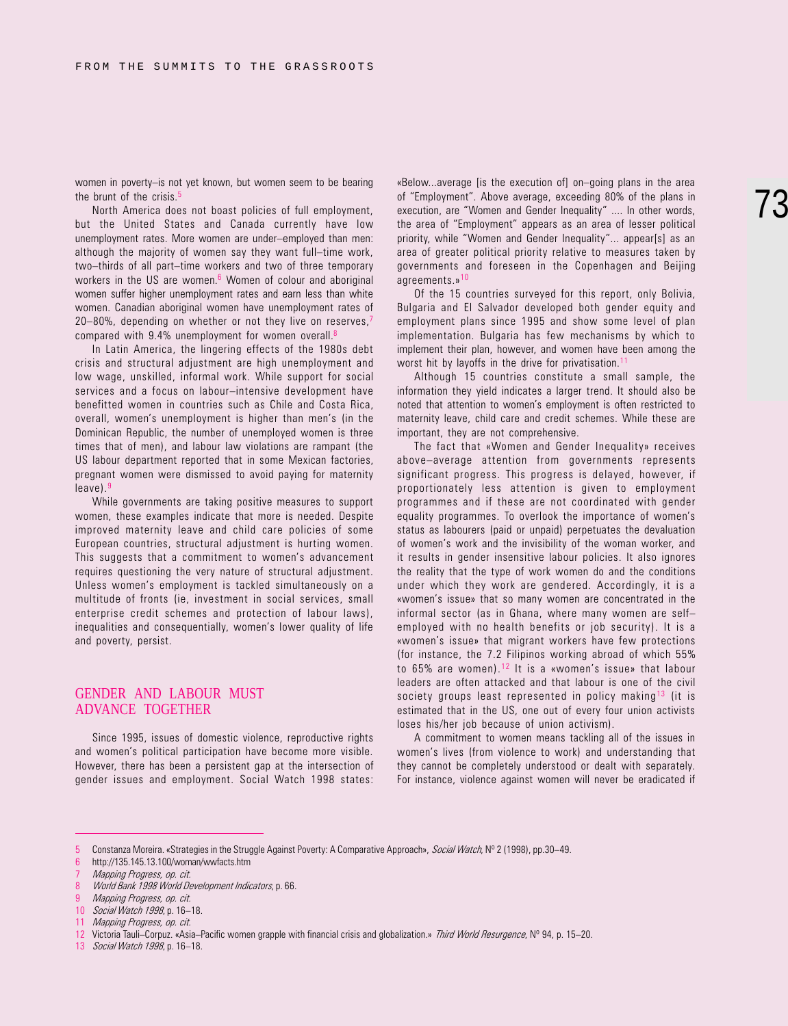women in poverty-is not yet known, but women seem to be bearing the brunt of the crisis.<sup>5</sup>

North America does not boast policies of full employment, but the United States and Canada currently have low unemployment rates. More women are under-employed than men: although the majority of women say they want full-time work, two-thirds of all part-time workers and two of three temporary workers in the US are women. 6 Women of colour and aboriginal women suffer higher unemployment rates and earn less than white women. Canadian aboriginal women have unemployment rates of 20-80%, depending on whether or not they live on reserves.<sup>7</sup> compared with 9.4% unemployment for women overall. $8$ 

In Latin America, the lingering effects of the 1980s debt crisis and structural adjustment are high unemployment and low wage, unskilled, informal work. While support for social services and a focus on labour-intensive development have benefitted women in countries such as Chile and Costa Rica, overall, women's unemployment is higher than men's (in the Dominican Republic, the number of unemployed women is three times that of men), and labour law violations are rampant (the US labour department reported that in some Mexican factories, pregnant women were dismissed to avoid paying for maternity leave).9

While governments are taking positive measures to support women, these examples indicate that more is needed. Despite improved maternity leave and child care policies of some European countries, structural adjustment is hurting women. This suggests that a commitment to women's advancement requires questioning the very nature of structural adjustment. Unless women's employment is tackled simultaneously on a multitude of fronts (ie, investment in social services, small enterprise credit schemes and protection of labour laws), inequalities and consequentially, women's lower quality of life and poverty, persist.

#### GENDER AND LABOUR MUST ADVANCE TOGETHER

Since 1995, issues of domestic violence, reproductive rights and women's political participation have become more visible. However, there has been a persistent gap at the intersection of gender issues and employment. Social Watch 1998 states: «Below...average [is the execution of] on-going plans in the area of "Employment". Above average, exceeding 80% of the plans in execution, are "Women and Gender Inequality" .... In other words, the area of "Employment" appears as an area of lesser political priority, while "Women and Gender Inequality"... appear[s] as an area of greater political priority relative to measures taken by governments and foreseen in the Copenhagen and Beijing agreements.»<sup>10</sup>

Of the 15 countries surveyed for this report, only Bolivia, Bulgaria and El Salvador developed both gender equity and employment plans since 1995 and show some level of plan implementation. Bulgaria has few mechanisms by which to implement their plan, however, and women have been among the worst hit by layoffs in the drive for privatisation.<sup>11</sup>

Although 15 countries constitute a small sample, the information they yield indicates a larger trend. It should also be noted that attention to women's employment is often restricted to maternity leave, child care and credit schemes. While these are important, they are not comprehensive.

The fact that «Women and Gender Inequality» receives above-average attention from governments represents significant progress. This progress is delayed, however, if proportionately less attention is given to employment programmes and if these are not coordinated with gender equality programmes. To overlook the importance of women's status as labourers (paid or unpaid) perpetuates the devaluation of women's work and the invisibility of the woman worker, and it results in gender insensitive labour policies. It also ignores the reality that the type of work women do and the conditions under which they work are gendered. Accordingly, it is a «women's issue» that so many women are concentrated in the informal sector (as in Ghana, where many women are self employed with no health benefits or job security). It is a «women's issue» that migrant workers have few protections (for instance, the 7.2 Filipinos working abroad of which 55% to 65% are women).<sup>12</sup> It is a «women's issue» that labour leaders are often attacked and that labour is one of the civil society groups least represented in policy making<sup>13</sup> (it is estimated that in the US, one out of every four union activists loses his/her job because of union activism).

A commitment to women means tackling all of the issues in women's lives (from violence to work) and understanding that they cannot be completely understood or dealt with separately. For instance, violence against women will never be eradicated if

13 Social Watch 1998, p. 16-18.

<sup>5</sup> Constanza Moreira. «Strategies in the Struggle Against Poverty: A Comparative Approach», Social Watch, Nº 2 (1998), pp.30–49.

<sup>6</sup> http://135.145.13.100/woman/wwfacts.htm

Mapping Progress, op. cit.

<sup>8</sup> World Bank 1998 World Development Indicators, p. 66.

<sup>9</sup> Mapping Progress, op. cit.

<sup>10</sup> Social Watch 1998, p. 16-18.

<sup>11</sup> Mapping Progress, op. cit.

<sup>12</sup> Victoria Tauli-Corpuz. «Asia-Pacific women grapple with financial crisis and globalization.» Third World Resurgence, Nº 94, p. 15-20.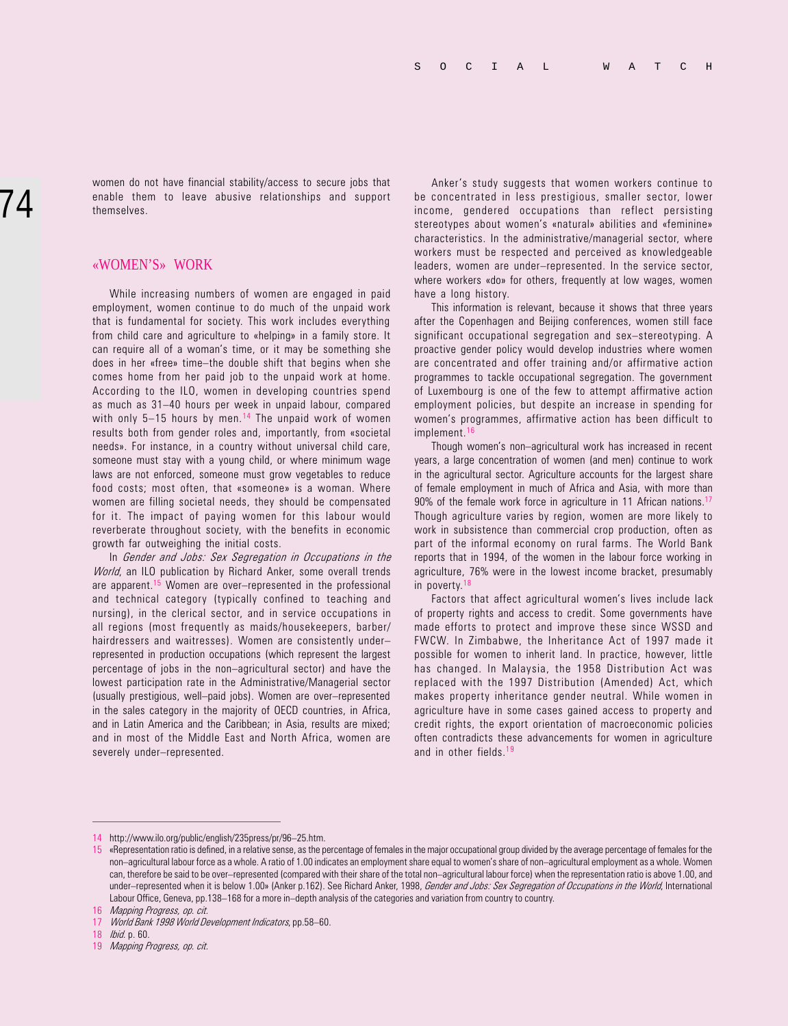women do not have financial stability/access to secure jobs that enable them to leave abusive relationships and support themselves.

### «WOMEN'S» WORK

While increasing numbers of women are engaged in paid employment, women continue to do much of the unpaid work that is fundamental for society. This work includes everything from child care and agriculture to «helping» in a family store. It can require all of a woman's time, or it may be something she does in her «free» time-the double shift that begins when she comes home from her paid job to the unpaid work at home. According to the ILO, women in developing countries spend as much as 31-40 hours per week in unpaid labour, compared with only 5—15 hours by men.<sup>14</sup> The unpaid work of women results both from gender roles and, importantly, from «societal needs». For instance, in a country without universal child care, someone must stay with a young child, or where minimum wage laws are not enforced, someone must grow vegetables to reduce food costs; most often, that «someone» is a woman. Where women are filling societal needs, they should be compensated for it. The impact of paying women for this labour would reverberate throughout society, with the benefits in economic growth far outweighing the initial costs.

In Gender and Jobs: Sex Segregation in Occupations in the World, an ILO publication by Richard Anker, some overall trends are apparent.<sup>15</sup> Women are over-represented in the professional and technical category (typically confined to teaching and nursing), in the clerical sector, and in service occupations in all regions (most frequently as maids/housekeepers, barber/ hairdressers and waitresses). Women are consistently under represented in production occupations (which represent the largest percentage of jobs in the non-agricultural sector) and have the lowest participation rate in the Administrative/Managerial sector (usually prestigious, well-paid jobs). Women are over-represented in the sales category in the majority of OECD countries, in Africa, and in Latin America and the Caribbean; in Asia, results are mixed; and in most of the Middle East and North Africa, women are severely under-represented.

Anker's study suggests that women workers continue to be concentrated in less prestigious, smaller sector, lower income, gendered occupations than reflect persisting stereotypes about women's «natural» abilities and «feminine» characteristics. In the administrative/managerial sector, where workers must be respected and perceived as knowledgeable leaders, women are under-represented. In the service sector, where workers «do» for others, frequently at low wages, women have a long history.

This information is relevant, because it shows that three years after the Copenhagen and Beijing conferences, women still face significant occupational segregation and sex-stereotyping. A proactive gender policy would develop industries where women are concentrated and offer training and/or affirmative action programmes to tackle occupational segregation. The government of Luxembourg is one of the few to attempt affirmative action employment policies, but despite an increase in spending for women's programmes, affirmative action has been difficult to implement.<sup>16</sup>

Though women's non-agricultural work has increased in recent years, a large concentration of women (and men) continue to work in the agricultural sector. Agriculture accounts for the largest share of female employment in much of Africa and Asia, with more than 90% of the female work force in agriculture in 11 African nations.<sup>17</sup> Though agriculture varies by region, women are more likely to work in subsistence than commercial crop production, often as part of the informal economy on rural farms. The World Bank reports that in 1994, of the women in the labour force working in agriculture, 76% were in the lowest income bracket, presumably in poverty.<sup>18</sup>

Factors that affect agricultural women's lives include lack of property rights and access to credit. Some governments have made efforts to protect and improve these since WSSD and FWCW. In Zimbabwe, the Inheritance Act of 1997 made it possible for women to inherit land. In practice, however, little has changed. In Malaysia, the 1958 Distribution Act was replaced with the 1997 Distribution (Amended) Act, which makes property inheritance gender neutral. While women in agriculture have in some cases gained access to property and credit rights, the export orientation of macroeconomic policies often contradicts these advancements for women in agriculture and in other fields.<sup>19</sup>

<sup>14</sup> http://www.ilo.org/public/english/235press/pr/96-25.htm.

<sup>15</sup> «Representation ratio is defined, in a relative sense, as the percentage of females in the major occupational group divided by the average percentage of females for the non-agricultural labour force as a whole. A ratio of 1.00 indicates an employment share equal to women's share of non-agricultural employment as a whole. Women can, therefore be said to be over-represented (compared with their share of the total non-agricultural labour force) when the representation ratio is above 1.00, and under-represented when it is below 1.00» (Anker p.162). See Richard Anker, 1998, Gender and Jobs: Sex Segregation of Occupations in the World, International Labour Office, Geneva, pp.138-168 for a more in-depth analysis of the categories and variation from country to country.

<sup>16</sup> Mapping Progress, op. cit.

<sup>17</sup> World Bank 1998 World Development Indicators, pp.58-60.

<sup>18</sup> Ibid. p. 60.

<sup>19</sup> Mapping Progress, op. cit.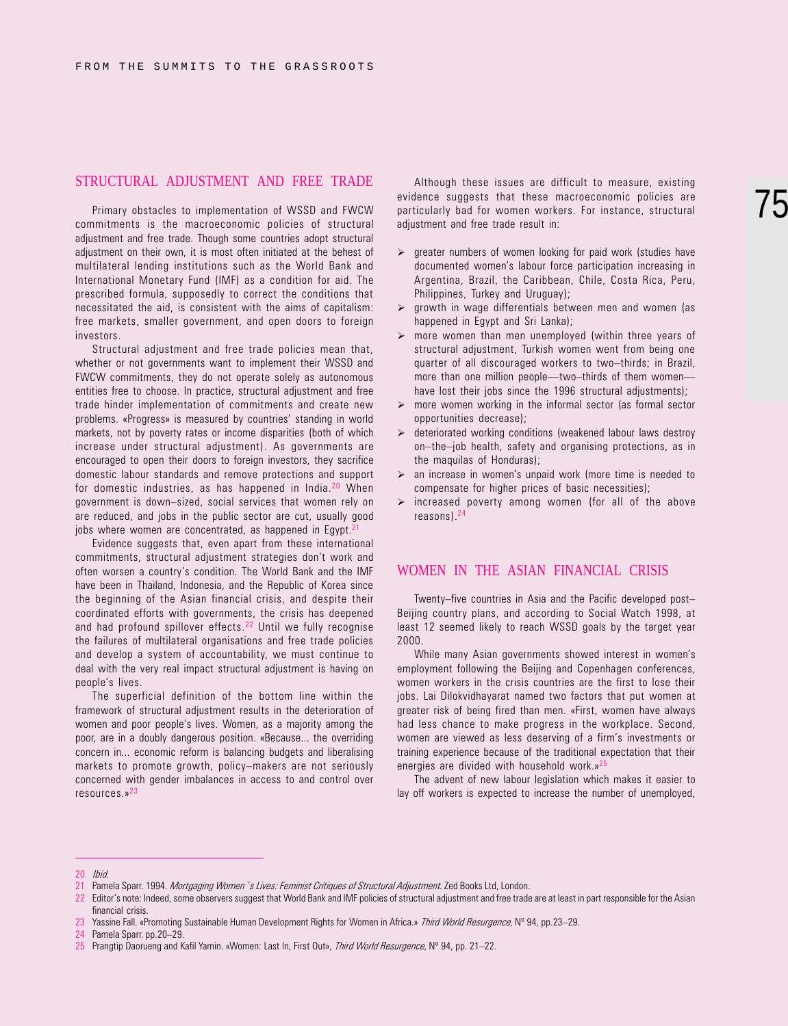# STRUCTURAL ADJUSTMENT AND FREE TRADE

Primary obstacles to implementation of WSSD and FWCW commitments is the macroeconomic policies of structural adjustment and free trade. Though some countries adopt structural adjustment on their own, it is most often initiated at the behest of multilateral lending institutions such as the World Bank and International Monetary Fund (IMF) as a condition for aid. The prescribed formula, supposedly to correct the conditions that necessitated the aid, is consistent with the aims of capitalism: free markets, smaller government, and open doors to foreign investors.

Structural adjustment and free trade policies mean that, whether or not governments want to implement their WSSD and FWCW commitments, they do not operate solely as autonomous entities free to choose. In practice, structural adjustment and free trade hinder implementation of commitments and create new problems. «Progress» is measured by countries' standing in world markets, not by poverty rates or income disparities (both of which increase under structural adjustment). As governments are encouraged to open their doors to foreign investors, they sacrifice domestic labour standards and remove protections and support for domestic industries, as has happened in India.20 When government is down-sized, social services that women rely on are reduced, and jobs in the public sector are cut, usually good jobs where women are concentrated, as happened in Egypt.<sup>2</sup>

Evidence suggests that, even apart from these international commitments, structural adjustment strategies don't work and often worsen a country's condition. The World Bank and the IMF have been in Thailand, Indonesia, and the Republic of Korea since the beginning of the Asian financial crisis, and despite their coordinated efforts with governments, the crisis has deepened and had profound spillover effects.<sup>22</sup> Until we fully recognise the failures of multilateral organisations and free trade policies and develop a system of accountability, we must continue to deal with the very real impact structural adjustment is having on people's lives.

The superficial definition of the bottom line within the framework of structural adjustment results in the deterioration of women and poor people's lives. Women, as a majority among the poor, are in a doubly dangerous position. «Because... the overriding concern in... economic reform is balancing budgets and liberalising markets to promote growth, policy-makers are not seriously concerned with gender imbalances in access to and control over resources.»23

Although these issues are difficult to measure, existing evidence suggests that these macroeconomic policies are particularly bad for women workers. For instance, structural adjustment and free trade result in:

- $\triangleright$  greater numbers of women looking for paid work (studies have documented women's labour force participation increasing in Argentina, Brazil, the Caribbean, Chile, Costa Rica, Peru, Philippines, Turkey and Uruguay);
- $\triangleright$  growth in wage differentials between men and women (as happened in Egypt and Sri Lanka):
- more women than men unemployed (within three years of structural adjustment, Turkish women went from being one quarter of all discouraged workers to two-thirds; in Brazil, more than one million people-two-thirds of them womenhave lost their jobs since the 1996 structural adjustments);
- $\triangleright$  more women working in the informal sector (as formal sector opportunities decrease);
- $\triangleright$  deteriorated working conditions (weakened labour laws destroy on-the-job health, safety and organising protections, as in the maquilas of Honduras);
- $\triangleright$  an increase in women's unpaid work (more time is needed to compensate for higher prices of basic necessities);
- $\triangleright$  increased poverty among women (for all of the above reasons).24

#### WOMEN IN THE ASIAN FINANCIAL CRISIS

Twenty-five countries in Asia and the Pacific developed post-Beijing country plans, and according to Social Watch 1998, at least 12 seemed likely to reach WSSD goals by the target year 2000.

While many Asian governments showed interest in women's employment following the Beijing and Copenhagen conferences, women workers in the crisis countries are the first to lose their jobs. Lai Dilokvidhayarat named two factors that put women at greater risk of being fired than men. «First, women have always had less chance to make progress in the workplace. Second, women are viewed as less deserving of a firm's investments or training experience because of the traditional expectation that their energies are divided with household work.»<sup>25</sup>

The advent of new labour legislation which makes it easier to lay off workers is expected to increase the number of unemployed,

<sup>20</sup> Ibid.

<sup>21</sup> Pamela Sparr. 1994. Mortgaging Women 's Lives: Feminist Critiques of Structural Adjustment. Zed Books Ltd, London.

<sup>22</sup> Editor's note: Indeed, some observers suggest that World Bank and IMF policies of structural adjustment and free trade are at least in part responsible for the Asian financial crisis.

<sup>23</sup> Yassine Fall. «Promoting Sustainable Human Development Rights for Women in Africa.» Third World Resurgence, Nº 94, pp.23-29.

<sup>24</sup> Pamela Sparr. pp.20-29.

<sup>25</sup> Prangtip Daorueng and Kafil Yamin. «Women: Last In, First Out», Third World Resurgence, Nº 94, pp. 21–22.